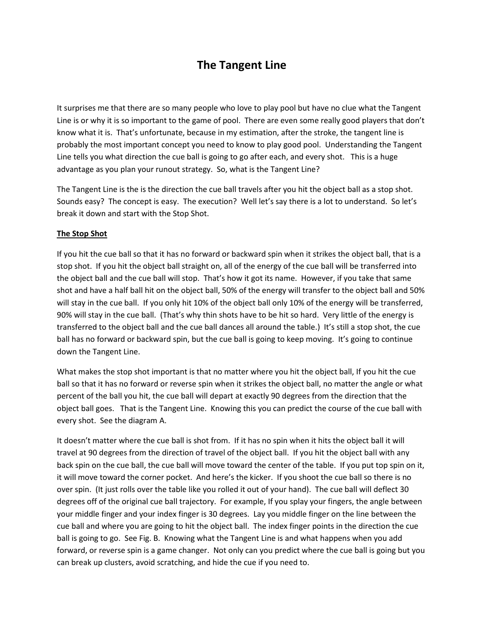## **The Tangent Line**

It surprises me that there are so many people who love to play pool but have no clue what the Tangent Line is or why it is so important to the game of pool. There are even some really good players that don't know what it is. That's unfortunate, because in my estimation, after the stroke, the tangent line is probably the most important concept you need to know to play good pool. Understanding the Tangent Line tells you what direction the cue ball is going to go after each, and every shot. This is a huge advantage as you plan your runout strategy. So, what is the Tangent Line?

The Tangent Line is the is the direction the cue ball travels after you hit the object ball as a stop shot. Sounds easy? The concept is easy. The execution? Well let's say there is a lot to understand. So let's break it down and start with the Stop Shot.

## **The Stop Shot**

If you hit the cue ball so that it has no forward or backward spin when it strikes the object ball, that is a stop shot. If you hit the object ball straight on, all of the energy of the cue ball will be transferred into the object ball and the cue ball will stop. That's how it got its name. However, if you take that same shot and have a half ball hit on the object ball, 50% of the energy will transfer to the object ball and 50% will stay in the cue ball. If you only hit 10% of the object ball only 10% of the energy will be transferred, 90% will stay in the cue ball. (That's why thin shots have to be hit so hard. Very little of the energy is transferred to the object ball and the cue ball dances all around the table.) It's still a stop shot, the cue ball has no forward or backward spin, but the cue ball is going to keep moving. It's going to continue down the Tangent Line.

What makes the stop shot important is that no matter where you hit the object ball, If you hit the cue ball so that it has no forward or reverse spin when it strikes the object ball, no matter the angle or what percent of the ball you hit, the cue ball will depart at exactly 90 degrees from the direction that the object ball goes. That is the Tangent Line. Knowing this you can predict the course of the cue ball with every shot. See the diagram A.

It doesn't matter where the cue ball is shot from. If it has no spin when it hits the object ball it will travel at 90 degrees from the direction of travel of the object ball. If you hit the object ball with any back spin on the cue ball, the cue ball will move toward the center of the table. If you put top spin on it, it will move toward the corner pocket. And here's the kicker. If you shoot the cue ball so there is no over spin. (It just rolls over the table like you rolled it out of your hand). The cue ball will deflect 30 degrees off of the original cue ball trajectory. For example, If you splay your fingers, the angle between your middle finger and your index finger is 30 degrees. Lay you middle finger on the line between the cue ball and where you are going to hit the object ball. The index finger points in the direction the cue ball is going to go. See Fig. B. Knowing what the Tangent Line is and what happens when you add forward, or reverse spin is a game changer. Not only can you predict where the cue ball is going but you can break up clusters, avoid scratching, and hide the cue if you need to.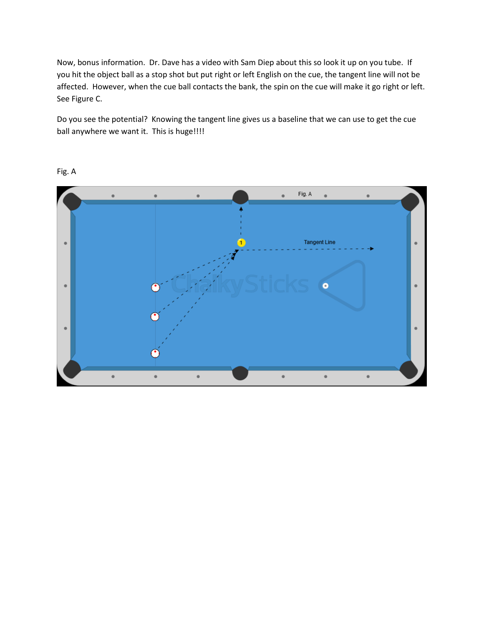Now, bonus information. Dr. Dave has a video with Sam Diep about this so look it up on you tube. If you hit the object ball as a stop shot but put right or left English on the cue, the tangent line will not be affected. However, when the cue ball contacts the bank, the spin on the cue will make it go right or left. See Figure C.

Do you see the potential? Knowing the tangent line gives us a baseline that we can use to get the cue ball anywhere we want it. This is huge!!!!



Fig. A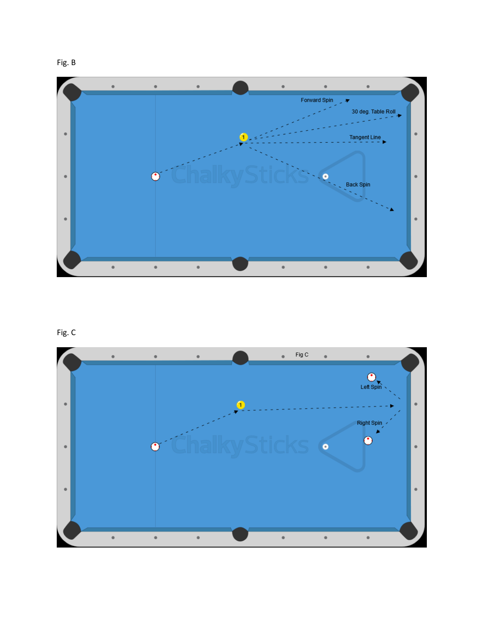



## Fig. C